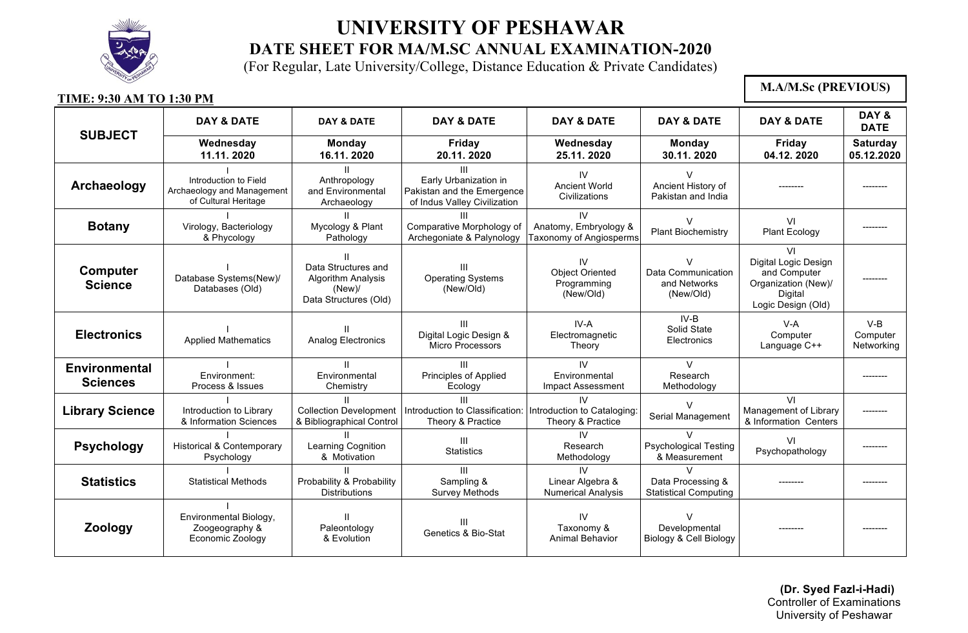

(For Regular, Late University/College, Distance Education & Private Candidates)

#### **TIME: 9:30 AM TO 1:30 PM SUBJECT DAY & DATE DAY & DATE DAY & DATE DAY & DATE DAY & DATE DAY & DATE DAY & DATE Wednesday 11.11. 2020 Monday 16.11. 2020 Friday 20.11. 2020 Wednesday 25.11. 2020 Monday 30.11. 2020 Friday 04.12. 2020 Saturday 05.12.2020 Archaeology** I Introduction to Field Archaeology and Management of Cultural Heritage II Anthropology and Environmental Archaeology III Early Urbanization in Pakistan and the Emergence of Indus Valley Civilization IV Ancient World **Civilizations** V Ancient History of Pakistan and India -------- -------- **Botany** I Virology, Bacteriology & Phycology II Mycology & Plant Pathology III Comparative Morphology of Archegoniate & Palynology IV Anatomy, Embryology & Taxonomy of Angiosperms  $\mathcal{V}$ Plant Biochemistry VI Plant Ecology **Computer Science** I Database Systems(New)/ Databases (Old) II Data Structures and Algorithm Analysis (New)/ Data Structures (Old) III Operating Systems (New/Old) IV Object Oriented Programming (New/Old)  $\overline{V}$ Data Communication and Networks (New/Old) VI Digital Logic Design and Computer Organization (New)/ Digital Logic Design (Old) -------- **Electronics** Applied Mathematics II Analog Electronics III Digital Logic Design & Micro Processors IV-A Electromagnetic Theory IV-B Solid State **Electronics** V-A **Computer** Language C++ V-B **Computer Networking Environmental Sciences** I Environment: Process & Issues II Environmental **Chemistry** III Principles of Applied Ecology IV **Environmental** Impact Assessment V Research Methodology -------- **Library Science** I Introduction to Library & Information Sciences II Collection Development & Bibliographical Control III Introduction to Classification: Theory & Practice IV Introduction to Cataloging: Theory & Practice  $\overline{V}$ Serial Management VI Management of Library & Information Centers -------- **Psychology** I Historical & Contemporary Psychology II Learning Cognition & Motivation III **Statistics** IV Research Methodology V Psychological Testing & Measurement VI Psychopathology | -------**Statistics** I Statistical Methods II Probability & Probability **Distributions** III Sampling & Survey Methods IV Linear Algebra & Numerical Analysis  $\overline{V}$ Data Processing & Statistical Computing -------- -------- **Zoology** I Environmental Biology, Zoogeography & Economic Zoology II Paleontology & Evolution III Genetics & Bio-Stat IV Taxonomy & Animal Behavior  $\overline{V}$ Developmental Biology & Cell Biology -------- -------- **M.A/M.Sc (PREVIOUS)**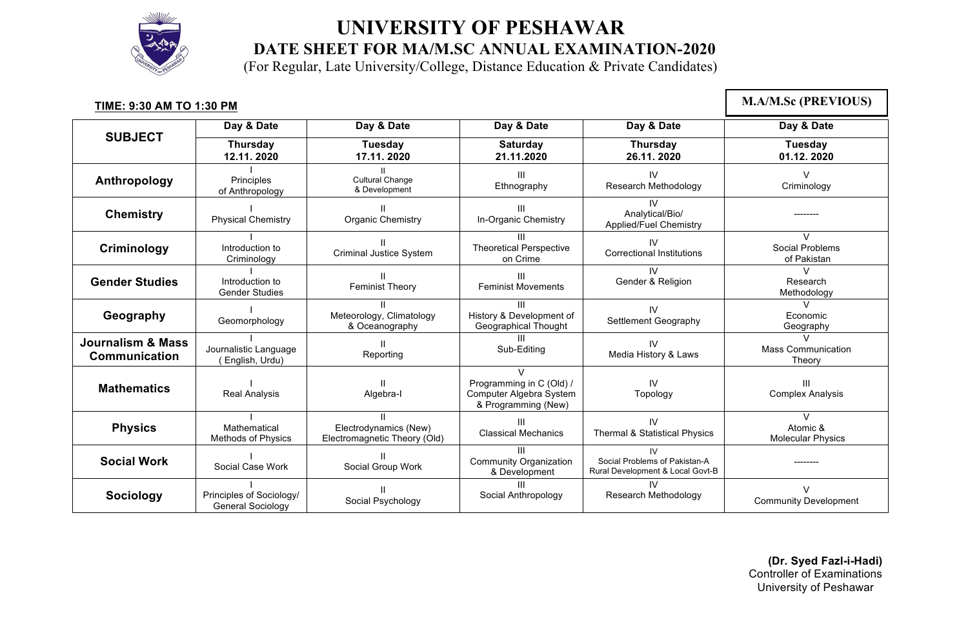

(For Regular, Late University/College, Distance Education & Private Candidates)

| TIME: 9:30 AM TO 1:30 PM                      |                                                      |                                                            |                                                                                             |                                                                         | <b>M.A/M.Sc (PREVIOUS)</b>                     |
|-----------------------------------------------|------------------------------------------------------|------------------------------------------------------------|---------------------------------------------------------------------------------------------|-------------------------------------------------------------------------|------------------------------------------------|
|                                               | Day & Date                                           | Day & Date                                                 | Day & Date                                                                                  | Day & Date                                                              | Day & Date                                     |
| <b>SUBJECT</b>                                | <b>Thursday</b><br>12.11.2020                        | <b>Tuesday</b><br>17.11.2020                               | <b>Saturday</b><br>21.11.2020                                                               | <b>Thursday</b><br>26.11.2020                                           | Tuesday<br>01.12.2020                          |
| Anthropology                                  | Principles<br>of Anthropology                        | <b>Cultural Change</b><br>& Development                    | Ш<br>Ethnography                                                                            | IV<br>Research Methodology                                              | $\vee$<br>Criminology                          |
| <b>Chemistry</b>                              | <b>Physical Chemistry</b>                            | $\mathbf{II}$<br>Organic Chemistry                         | Ш<br>In-Organic Chemistry                                                                   | IV<br>Analytical/Bio/<br>Applied/Fuel Chemistry                         |                                                |
| Criminology                                   | Introduction to<br>Criminology                       | <b>Criminal Justice System</b>                             | Ш<br><b>Theoretical Perspective</b><br>on Crime                                             | IV<br><b>Correctional Institutions</b>                                  | $\mathsf{V}$<br>Social Problems<br>of Pakistan |
| <b>Gender Studies</b>                         | Introduction to<br><b>Gender Studies</b>             | <b>Feminist Theory</b>                                     | Ш<br><b>Feminist Movements</b>                                                              | $\mathsf{N}$<br>Gender & Religion                                       | $\vee$<br>Research<br>Methodology              |
| Geography                                     | Geomorphology                                        | $\mathbf{H}$<br>Meteorology, Climatology<br>& Oceanography | Ш<br>History & Development of<br>Geographical Thought                                       | IV<br>Settlement Geography                                              | V<br>Economic<br>Geography                     |
| <b>Journalism &amp; Mass</b><br>Communication | Journalistic Language<br>(English, Urdu)             | $\mathbf{H}$<br>Reporting                                  | ШL<br>Sub-Editing                                                                           | IV<br>Media History & Laws                                              | $\vee$<br><b>Mass Communication</b><br>Theory  |
| <b>Mathematics</b>                            | Real Analysis                                        | Algebra-I                                                  | $\mathcal{U}$<br>Programming in C (Old) /<br>Computer Algebra System<br>& Programming (New) | IV<br>Topology                                                          | Ш<br><b>Complex Analysis</b>                   |
| <b>Physics</b>                                | Mathematical<br><b>Methods of Physics</b>            | Electrodynamics (New)<br>Electromagnetic Theory (Old)      | Ш<br><b>Classical Mechanics</b>                                                             | IV<br><b>Thermal &amp; Statistical Physics</b>                          | $\vee$<br>Atomic &<br><b>Molecular Physics</b> |
| <b>Social Work</b>                            | Social Case Work                                     | Social Group Work                                          | Ш<br>Community Organization<br>& Development                                                | IV<br>Social Problems of Pakistan-A<br>Rural Development & Local Govt-B |                                                |
| <b>Sociology</b>                              | Principles of Sociology/<br><b>General Sociology</b> | Social Psychology                                          | Ш<br>Social Anthropology                                                                    | IV.<br>Research Methodology                                             | $\mathcal{L}$<br><b>Community Development</b>  |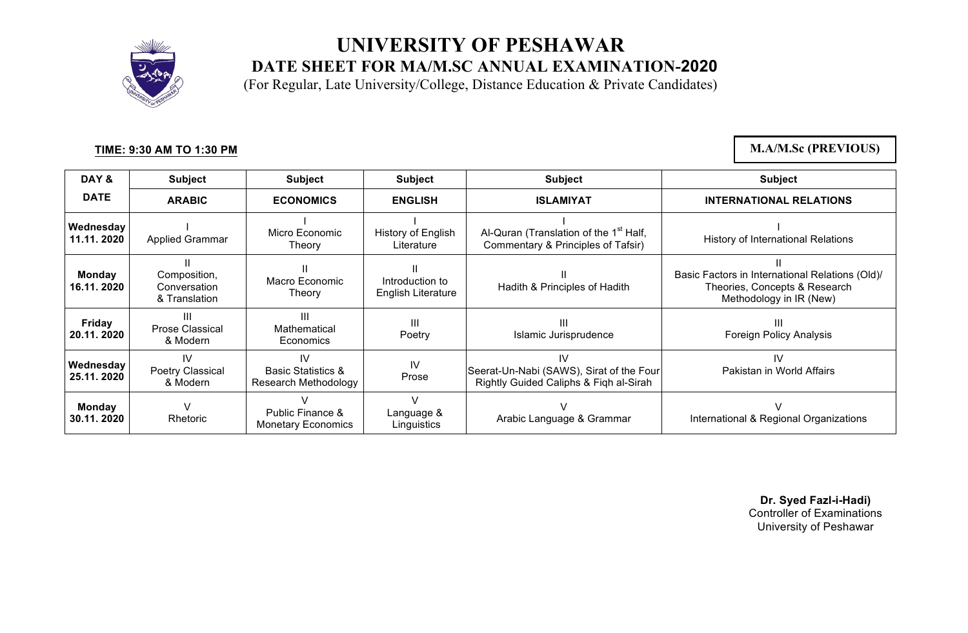

(For Regular, Late University/College, Distance Education & Private Candidates)

#### **TIME: 9:30 AM TO 1:30 PM**

**M.A/M.Sc (PREVIOUS)**

| DAY&                        | <b>Subject</b>                                | <b>Subject</b>                                              | <b>Subject</b>                               | <b>Subject</b>                                                                           | <b>Subject</b>                                                                                              |
|-----------------------------|-----------------------------------------------|-------------------------------------------------------------|----------------------------------------------|------------------------------------------------------------------------------------------|-------------------------------------------------------------------------------------------------------------|
| <b>DATE</b>                 | <b>ARABIC</b>                                 | <b>ECONOMICS</b>                                            | <b>ENGLISH</b>                               | <b>ISLAMIYAT</b>                                                                         | <b>INTERNATIONAL RELATIONS</b>                                                                              |
| Wednesday<br>11.11.2020     | <b>Applied Grammar</b>                        | Micro Economic<br>Theory                                    | History of English<br>Literature             | Al-Quran (Translation of the 1 <sup>st</sup> Half,<br>Commentary & Principles of Tafsir) | History of International Relations                                                                          |
| <b>Monday</b><br>16.11.2020 | Composition,<br>Conversation<br>& Translation | Macro Economic<br>Theory                                    | Introduction to<br><b>English Literature</b> | Hadith & Principles of Hadith                                                            | Basic Factors in International Relations (Old)/<br>Theories, Concepts & Research<br>Methodology in IR (New) |
| <b>Friday</b><br>20.11.2020 | Ш<br>Prose Classical<br>& Modern              | Ш<br>Mathematical<br>Economics                              | Ш<br>Poetry                                  | Ш<br>Islamic Jurisprudence                                                               | Ш<br><b>Foreign Policy Analysis</b>                                                                         |
| Wednesday<br>25.11.2020     | IV<br>Poetry Classical<br>& Modern            | 1V<br><b>Basic Statistics &amp;</b><br>Research Methodology | IV<br>Prose                                  | IV<br>Seerat-Un-Nabi (SAWS), Sirat of the Four<br>Rightly Guided Caliphs & Figh al-Sirah | IV<br>Pakistan in World Affairs                                                                             |
| <b>Monday</b><br>30.11.2020 | $\vee$<br>Rhetoric                            | Public Finance &<br><b>Monetary Economics</b>               | $\sqrt{}$<br>Language &<br>Linguistics       | Arabic Language & Grammar                                                                | International & Regional Organizations                                                                      |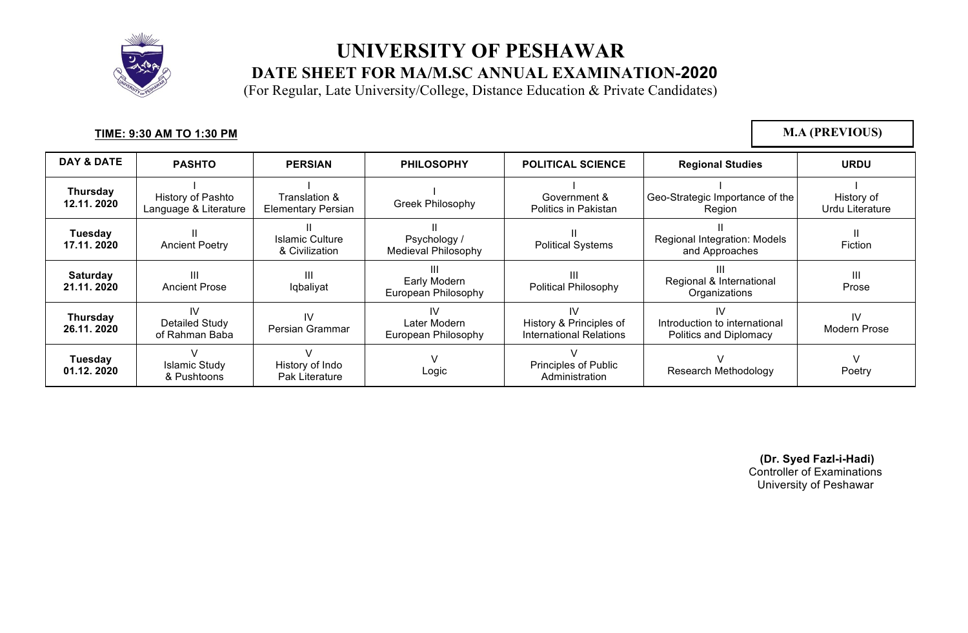

(For Regular, Late University/College, Distance Education & Private Candidates)

#### **TIME: 9:30 AM TO 1:30 PM**

**M.A (PREVIOUS)**

| <b>DAY &amp; DATE</b>         | <b>PASHTO</b>                                 | <b>PERSIAN</b>                             | <b>PHILOSOPHY</b>                          | <b>POLITICAL SCIENCE</b>                                        | <b>Regional Studies</b>                                       | <b>URDU</b>                   |
|-------------------------------|-----------------------------------------------|--------------------------------------------|--------------------------------------------|-----------------------------------------------------------------|---------------------------------------------------------------|-------------------------------|
| Thursday<br>12.11.2020        | History of Pashto<br>Language & Literature    | Translation &<br><b>Elementary Persian</b> | <b>Greek Philosophy</b>                    | Government &<br>Politics in Pakistan                            | Geo-Strategic Importance of the<br>Region                     | History of<br>Urdu Literature |
| Tuesday<br>17.11.2020         | <b>Ancient Poetry</b>                         | Islamic Culture<br>& Civilization          | Psychology /<br><b>Medieval Philosophy</b> | <b>Political Systems</b>                                        | Regional Integration: Models<br>and Approaches                | Fiction                       |
| <b>Saturday</b><br>21.11.2020 | <b>Ancient Prose</b>                          | Ш<br>Iqbaliyat                             | Early Modern<br>European Philosophy        | Ш<br><b>Political Philosophy</b>                                | Regional & International<br>Organizations                     | Ш<br>Prose                    |
| <b>Thursday</b><br>26.11.2020 | IV<br><b>Detailed Study</b><br>of Rahman Baba | IV<br>Persian Grammar                      | IV<br>Later Modern<br>European Philosophy  | IV<br>History & Principles of<br><b>International Relations</b> | IV<br>Introduction to international<br>Politics and Diplomacy | IV<br>Modern Prose            |
| Tuesday<br>01.12.2020         | <b>Islamic Study</b><br>& Pushtoons           | History of Indo<br>Pak Literature          | Logic                                      | <b>Principles of Public</b><br>Administration                   | Research Methodology                                          | Poetry                        |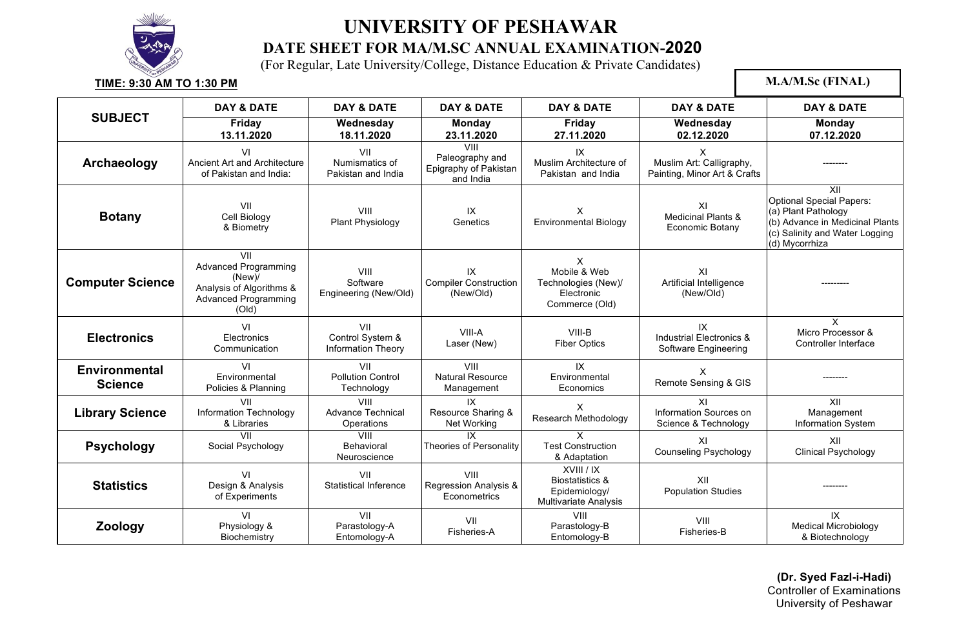

(For Regular, Late University/College, Distance Education & Private Candidates)

**TIME: 9:30 AM TO 1:30 PM SUBJECT DAY & DATE DAY & DATE DAY & DATE DAY & DATE DAY & DATE DAY & DATE Friday 13.11.2020 Wednesday 18.11.2020 Monday 23.11.2020 Friday 27.11.2020 Wednesday 02.12.2020 Monday 07.12.2020 Archaeology** VI Ancient Art and Architecture of Pakistan and India: VII Numismatics of Pakistan and India VIII Paleography and Epigraphy of Pakistan and India IX Muslim Architecture of Pakistan and India X Muslim Art: Calligraphy, Painting, Minor Art & Crafts -------- **Botany** VII Cell Biology & Biometry VIII Plant Physiology IX **Genetics** X Environmental Biology XI Medicinal Plants & Economic Botany XII Optional Special Papers: (a) Plant Pathology (b) Advance in Medicinal Plants (c) Salinity and Water Logging (d) Mycorrhiza **Computer Science** VII Advanced Programming (New)/ Analysis of Algorithms & Advanced Programming (Old) VIII Software Engineering (New/Old) IX Compiler Construction (New/Old) X Mobile & Web Technologies (New)/ Electronic Commerce (Old) XI Artificial Intelligence (New/OId) --------- **Electronics** VI **Electronics Communication** VII Control System & Information Theory VIII-A Laser (New) VIII-B Fiber Optics IX Industrial Electronics & Software Engineering X Micro Processor & Controller Interface **Environmental Science**  VI **Environmental** Policies & Planning VII Pollution Control **Technology** VIII Natural Resource Management IX Environmental **Economics** X Remote Sensing & GIS --------**Library Science** VII Information Technology & Libraries VIII Advance Technical **Operations** IX Resource Sharing & Net Working X Research Methodology XI Information Sources on Science & Technology XII Management Information System **Psychology** VII Social Psychology **VIII** Behavioral Neuroscience IX Theories of Personality X Test Construction & Adaptation XI Counseling Psychology XII Clinical Psychology **Statistics** VI Design & Analysis of Experiments VII Statistical Inference VIII Regression Analysis & **Econometrics** XVIII / IX Biostatistics & Epidemiology/ Multivariate Analysis XII Population Studies **Zoology** VI Physiology & **Biochemistry** VII Parastology-A Entomology-A VII Fisheries-A VIII Parastology-B Entomology-B VIII Fisheries-B IX Medical Microbiology & Biotechnology **M.A/M.Sc (FINAL)**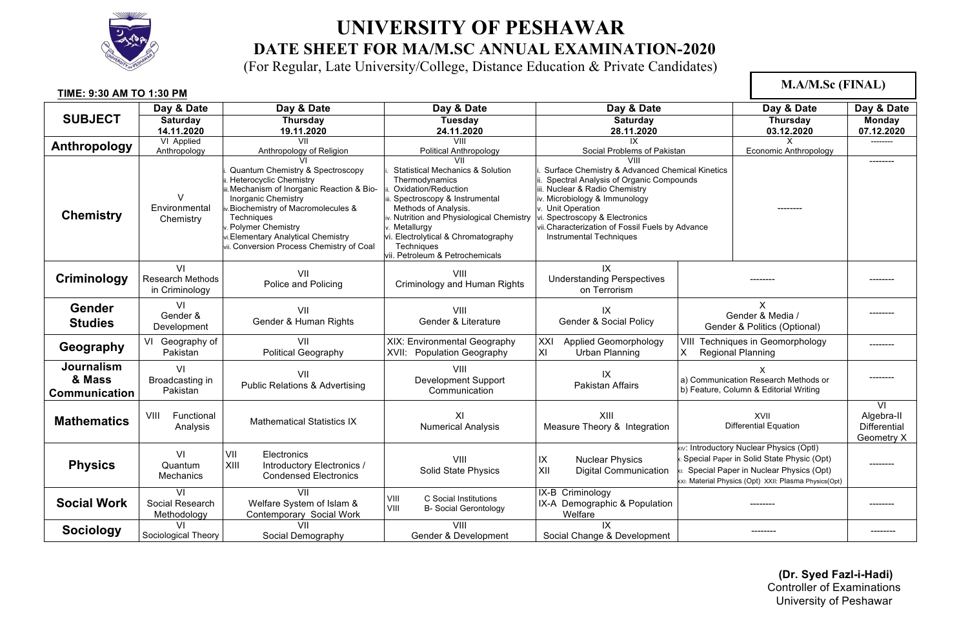

(For Regular, Late University/College, Distance Education & Private Candidates)

| TIME: 9:30 AM TO 1:30 PM                     |                                                 |                                                                                                                                                                                                                                                                                                      |                                                                                                                                                                                                                                                                                                                      |                                                                                                                                                                                                                                                                                                                      |                                      | <b>M.A/M.Sc (FINAL)</b>                                                                                                                                                                     |                                                             |
|----------------------------------------------|-------------------------------------------------|------------------------------------------------------------------------------------------------------------------------------------------------------------------------------------------------------------------------------------------------------------------------------------------------------|----------------------------------------------------------------------------------------------------------------------------------------------------------------------------------------------------------------------------------------------------------------------------------------------------------------------|----------------------------------------------------------------------------------------------------------------------------------------------------------------------------------------------------------------------------------------------------------------------------------------------------------------------|--------------------------------------|---------------------------------------------------------------------------------------------------------------------------------------------------------------------------------------------|-------------------------------------------------------------|
|                                              | Day & Date                                      | Day & Date                                                                                                                                                                                                                                                                                           | Day & Date                                                                                                                                                                                                                                                                                                           | Day & Date                                                                                                                                                                                                                                                                                                           |                                      | Day & Date                                                                                                                                                                                  | Day & Date                                                  |
| <b>SUBJECT</b>                               | Saturday                                        | <b>Thursday</b>                                                                                                                                                                                                                                                                                      | Tuesday                                                                                                                                                                                                                                                                                                              | Saturday                                                                                                                                                                                                                                                                                                             |                                      | Thursday                                                                                                                                                                                    | <b>Monday</b>                                               |
|                                              | 14.11.2020                                      | 19.11.2020                                                                                                                                                                                                                                                                                           | 24.11.2020                                                                                                                                                                                                                                                                                                           | 28.11.2020                                                                                                                                                                                                                                                                                                           |                                      | 03.12.2020                                                                                                                                                                                  | 07.12.2020                                                  |
| Anthropology                                 | VI Applied                                      | VII                                                                                                                                                                                                                                                                                                  | VIII                                                                                                                                                                                                                                                                                                                 | IX                                                                                                                                                                                                                                                                                                                   |                                      | X                                                                                                                                                                                           | --------                                                    |
|                                              | Anthropology                                    | Anthropology of Religion                                                                                                                                                                                                                                                                             | <b>Political Anthropology</b>                                                                                                                                                                                                                                                                                        | Social Problems of Pakistan                                                                                                                                                                                                                                                                                          |                                      | Economic Anthropology                                                                                                                                                                       |                                                             |
| <b>Chemistry</b>                             | $\vee$<br>Environmental<br>Chemistry            | Quantum Chemistry & Spectroscopy<br><b>Heterocyclic Chemistry</b><br>ii. Mechanism of Inorganic Reaction & Bio-<br>Inorganic Chemistry<br>v.Biochemistry of Macromolecules &<br>Techniques<br>. Polymer Chemistry<br>vi.Elementary Analytical Chemistry<br>vii. Conversion Process Chemistry of Coal | VII<br><b>Statistical Mechanics &amp; Solution</b><br>Thermodynamics<br>Oxidation/Reduction<br>iii. Spectroscopy & Instrumental<br>Methods of Analysis.<br>iv. Nutrition and Physiological Chemistry<br>v. Metallurgy<br>vi. Electrolytical & Chromatography<br><b>Techniques</b><br>vii. Petroleum & Petrochemicals | VIII<br>Surface Chemistry & Advanced Chemical Kinetics<br>ii. Spectral Analysis of Organic Compounds<br>iii. Nuclear & Radio Chemistry<br>iv. Microbiology & Immunology<br>v. Unit Operation<br>vi. Spectroscopy & Electronics<br>vii. Characterization of Fossil Fuels by Advance<br><b>Instrumental Techniques</b> |                                      | --------                                                                                                                                                                                    | ---------                                                   |
| Criminology                                  | VI<br><b>Research Methods</b><br>in Criminology | VII<br>Police and Policing                                                                                                                                                                                                                                                                           | VIII<br>Criminology and Human Rights                                                                                                                                                                                                                                                                                 | IX<br><b>Understanding Perspectives</b><br>on Terrorism                                                                                                                                                                                                                                                              |                                      |                                                                                                                                                                                             |                                                             |
| Gender<br><b>Studies</b>                     | VI<br>Gender &<br>Development                   | VII<br>Gender & Human Rights                                                                                                                                                                                                                                                                         | VIII<br>Gender & Literature                                                                                                                                                                                                                                                                                          | IX<br>Gender & Social Policy                                                                                                                                                                                                                                                                                         |                                      | X<br>Gender & Media /<br>Gender & Politics (Optional)                                                                                                                                       |                                                             |
| Geography                                    | VI Geography of<br>Pakistan                     | VII<br>Political Geography                                                                                                                                                                                                                                                                           | XIX: Environmental Geography<br>XVII:<br><b>Population Geography</b>                                                                                                                                                                                                                                                 | <b>Applied Geomorphology</b><br>XXI<br>XI<br>Urban Planning                                                                                                                                                                                                                                                          | Regional Planning<br>X.              | VIII Techniques in Geomorphology                                                                                                                                                            | --------                                                    |
| Journalism<br>& Mass<br><b>Communication</b> | VI<br>Broadcasting in<br>Pakistan               | VII<br><b>Public Relations &amp; Advertising</b>                                                                                                                                                                                                                                                     | VIII<br>Development Support<br>Communication                                                                                                                                                                                                                                                                         | IX<br>Pakistan Affairs                                                                                                                                                                                                                                                                                               |                                      | X<br>a) Communication Research Methods or<br>b) Feature, Column & Editorial Writing                                                                                                         |                                                             |
| <b>Mathematics</b>                           | Functional<br>VIII<br>Analysis                  | <b>Mathematical Statistics IX</b>                                                                                                                                                                                                                                                                    | XI<br><b>Numerical Analysis</b>                                                                                                                                                                                                                                                                                      | XIII<br>Measure Theory & Integration                                                                                                                                                                                                                                                                                 | XVII<br><b>Differential Equation</b> |                                                                                                                                                                                             | $\overline{VI}$<br>Algebra-II<br>Differential<br>Geometry X |
| <b>Physics</b>                               | VI<br>Quantum<br><b>Mechanics</b>               | VII<br>Electronics<br>XIII<br>Introductory Electronics /<br><b>Condensed Electronics</b>                                                                                                                                                                                                             | VIII<br>Solid State Physics                                                                                                                                                                                                                                                                                          | IX<br><b>Nuclear Physics</b><br>XII<br><b>Digital Communication</b>                                                                                                                                                                                                                                                  |                                      | kiv: Introductory Nuclear Physics (Optl)<br>x: Special Paper in Solid State Physic (Opt)<br>Special Paper in Nuclear Physics (Opt)<br>xxi: Material Physics (Opt) XXII: Plasma Physics(Opt) |                                                             |
| <b>Social Work</b>                           | VI<br>Social Research<br>Methodology            | VII<br>Welfare System of Islam &<br>Contemporary Social Work                                                                                                                                                                                                                                         | C Social Institutions<br>VIII<br>VIII<br><b>B- Social Gerontology</b>                                                                                                                                                                                                                                                | IX-B Criminology<br>IX-A Demographic & Population<br>Welfare                                                                                                                                                                                                                                                         |                                      |                                                                                                                                                                                             |                                                             |
| <b>Sociology</b>                             | VI<br>Sociological Theory                       | VII<br>Social Demography                                                                                                                                                                                                                                                                             | VIII<br>Gender & Development                                                                                                                                                                                                                                                                                         | IX<br>Social Change & Development                                                                                                                                                                                                                                                                                    |                                      | -------                                                                                                                                                                                     | -------                                                     |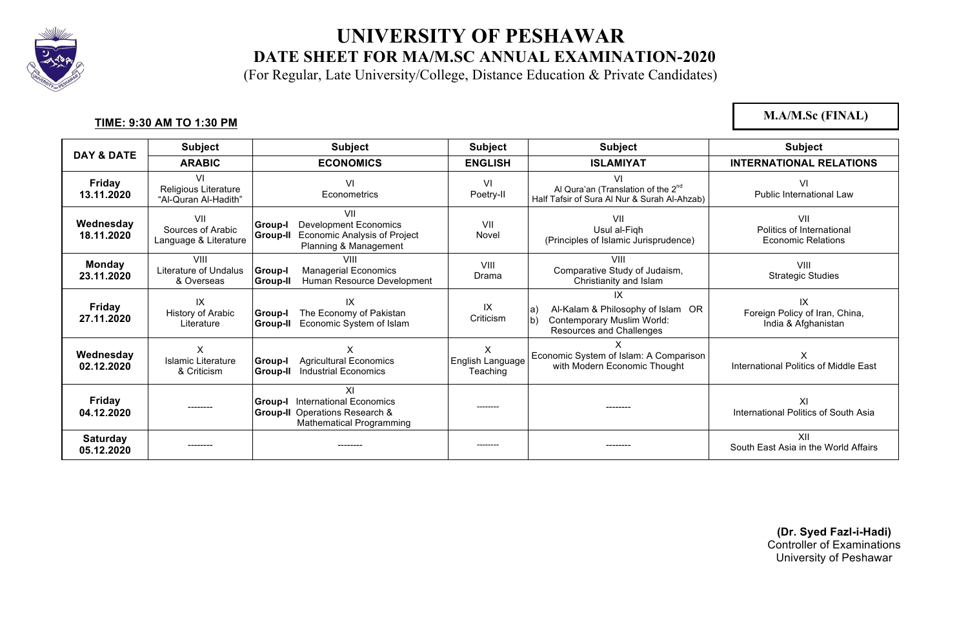

(For Regular, Late University/College, Distance Education & Private Candidates)

#### **TIME: 9:30 AM TO 1:30 PM**

**M.A/M.Sc (FINAL)**

| <b>DAY &amp; DATE</b>         | <b>Subject</b>                                     | <b>Subject</b>                                                                                                                     | <b>Subject</b>                    | <b>Subject</b>                                                                                                                             | <b>Subject</b>                                                |
|-------------------------------|----------------------------------------------------|------------------------------------------------------------------------------------------------------------------------------------|-----------------------------------|--------------------------------------------------------------------------------------------------------------------------------------------|---------------------------------------------------------------|
|                               | <b>ARABIC</b>                                      | <b>ECONOMICS</b>                                                                                                                   | <b>ENGLISH</b>                    | <b>ISLAMIYAT</b>                                                                                                                           | <b>INTERNATIONAL RELATIONS</b>                                |
| <b>Friday</b><br>13.11.2020   | VI<br>Religious Literature<br>"Al-Quran Al-Hadith" | VI<br>Econometrics                                                                                                                 | VI<br>Poetry-II                   | VI<br>Al Qura'an (Translation of the 2 <sup>nd</sup><br>Half Tafsir of Sura Al Nur & Surah Al-Ahzab)                                       | VI<br><b>Public International Law</b>                         |
| Wednesday<br>18.11.2020       | VII<br>Sources of Arabic<br>Language & Literature  | VII<br><b>Development Economics</b><br><b>Group-I</b><br>Economic Analysis of Project<br>Group-II<br>Planning & Management         | VII<br>Novel                      | VII<br>Usul al-Figh<br>(Principles of Islamic Jurisprudence)                                                                               | VII<br>Politics of International<br><b>Economic Relations</b> |
| <b>Monday</b><br>23.11.2020   | VIII<br>Literature of Undalus<br>& Overseas        | VIII<br><b>Group-I</b><br><b>Managerial Economics</b><br>Human Resource Development<br><b>Group-II</b>                             | VIII<br>Drama                     | VIII<br>Comparative Study of Judaism,<br>Christianity and Islam                                                                            | VIII<br><b>Strategic Studies</b>                              |
| Friday<br>27.11.2020          | IX<br>History of Arabic<br>Literature              | IX<br>The Economy of Pakistan<br><b>Group-I</b><br>Economic System of Islam<br><b>Group-II</b>                                     | IX<br>Criticism                   | $\mathsf{I} \mathsf{X}$<br>Al-Kalam & Philosophy of Islam OR<br>a)<br>Contemporary Muslim World:<br>$\vert$ b)<br>Resources and Challenges | IX<br>Foreign Policy of Iran, China,<br>India & Afghanistan   |
| Wednesday<br>02.12.2020       | X<br>Islamic Literature<br>& Criticism             | x<br><b>Agricultural Economics</b><br><b>Group-I</b><br><b>Industrial Economics</b><br>Group-II                                    | X<br>English Language<br>Teaching | Economic System of Islam: A Comparison<br>with Modern Economic Thought                                                                     | X<br>International Politics of Middle East                    |
| Friday<br>04.12.2020          | ---------                                          | ΧI<br><b>International Economics</b><br><b>Group-I</b><br><b>Group-II</b> Operations Research &<br><b>Mathematical Programming</b> | ---------                         | --------                                                                                                                                   | ΧI<br>International Politics of South Asia                    |
| <b>Saturday</b><br>05.12.2020 | -------                                            | --------                                                                                                                           | ---------                         | --------                                                                                                                                   | XII<br>South East Asia in the World Affairs                   |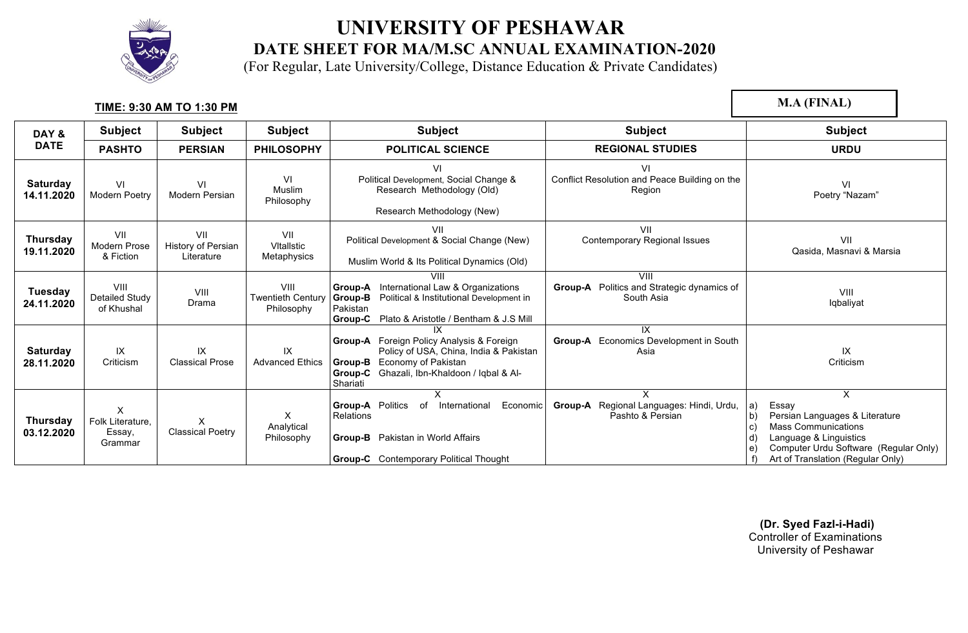

(For Regular, Late University/College, Distance Education & Private Candidates)

#### **TIME: 9:30 AM TO 1:30 PM**

**M.A (FINAL)**

| DAY &                         | <b>Subject</b>                             | <b>Subject</b>                                 | <b>Subject</b>                                 | <b>Subject</b>                                                                                                                                                                                | <b>Subject</b>                                                       | <b>Subject</b>                                                                                                                                                                           |
|-------------------------------|--------------------------------------------|------------------------------------------------|------------------------------------------------|-----------------------------------------------------------------------------------------------------------------------------------------------------------------------------------------------|----------------------------------------------------------------------|------------------------------------------------------------------------------------------------------------------------------------------------------------------------------------------|
| <b>DATE</b>                   | <b>PASHTO</b>                              | <b>PERSIAN</b>                                 | <b>PHILOSOPHY</b>                              | <b>POLITICAL SCIENCE</b>                                                                                                                                                                      | <b>REGIONAL STUDIES</b>                                              | <b>URDU</b>                                                                                                                                                                              |
| <b>Saturday</b><br>14.11.2020 | VI<br>Modern Poetry                        | VI<br>Modern Persian                           | VI<br>Muslim<br>Philosophy                     | VI<br>Political Development, Social Change &<br>Research Methodology (Old)<br>Research Methodology (New)                                                                                      | VI<br>Conflict Resolution and Peace Building on the<br>Region        | VI<br>Poetry "Nazam"                                                                                                                                                                     |
| Thursday<br>19.11.2020        | VII<br>Modern Prose<br>& Fiction           | VII<br><b>History of Persian</b><br>Literature | VII<br><b>V</b> ItalIstic<br>Metaphysics       | VII<br>Political Development & Social Change (New)<br>Muslim World & Its Political Dynamics (Old)                                                                                             | VII<br>Contemporary Regional Issues                                  | VII<br>Qasida, Masnavi & Marsia                                                                                                                                                          |
| Tuesday<br>24.11.2020         | VIII<br>Detailed Study<br>of Khushal       | VIII<br>Drama                                  | VIII<br><b>Twentieth Century</b><br>Philosophy | Group-A International Law & Organizations<br>Political & Institutional Development in<br>Group-B<br>Pakistan<br>Group-C<br>Plato & Aristotle / Bentham & J.S Mill                             | VIII<br>Group-A Politics and Strategic dynamics of<br>South Asia     | VIII<br>Iqbaliyat                                                                                                                                                                        |
| <b>Saturday</b><br>28.11.2020 | IX<br>Criticism                            | IX<br><b>Classical Prose</b>                   | IX<br><b>Advanced Ethics</b>                   | ΙX<br><b>Group-A</b> Foreign Policy Analysis & Foreign<br>Policy of USA, China, India & Pakistan<br>Economy of Pakistan<br>Group-B<br>Group-C Ghazali, Ibn-Khaldoon / Iqbal & Al-<br>Shariati | IX<br>Economics Development in South<br>Group-A<br>Asia              | IX<br>Criticism                                                                                                                                                                          |
| <b>Thursday</b><br>03.12.2020 | X<br>Folk Literature,<br>Essay,<br>Grammar | X<br><b>Classical Poetry</b>                   | X<br>Analytical<br>Philosophy                  | X<br>Economic<br><b>Group-A</b> Politics<br>of International<br>Relations<br>Group-B Pakistan in World Affairs<br><b>Group-C</b> Contemporary Political Thought                               | X<br>Regional Languages: Hindi, Urdu,<br>Group-A<br>Pashto & Persian | X<br>Essay<br>a)<br>Persian Languages & Literature<br><b>Mass Communications</b><br>Language & Linguistics<br>Computer Urdu Software (Regular Only)<br>Art of Translation (Regular Only) |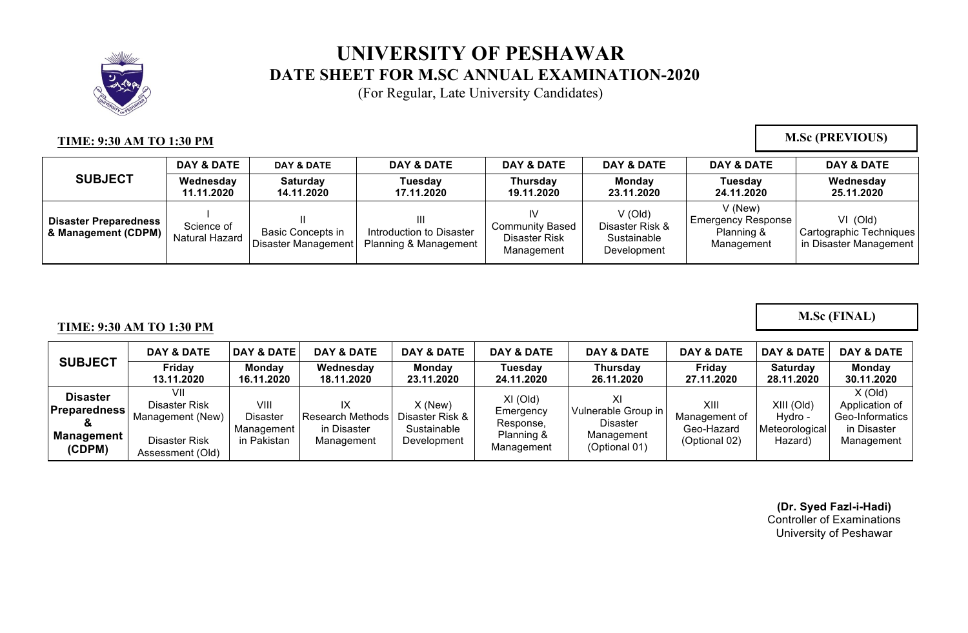

(For Regular, Late University Candidates)

#### **TIME: 9:30 AM TO 1:30 PM**

**M.Sc (PREVIOUS)**

**M.Sc (FINAL)**

|                                                     | DAY & DATE                   | <b>DAY &amp; DATE</b>                           | DAY & DATE                                             | DAY & DATE                                                  | DAY & DATE                                                 | <b>DAY &amp; DATE</b>                                              | DAY & DATE                                                      |
|-----------------------------------------------------|------------------------------|-------------------------------------------------|--------------------------------------------------------|-------------------------------------------------------------|------------------------------------------------------------|--------------------------------------------------------------------|-----------------------------------------------------------------|
| <b>SUBJECT</b>                                      | Wednesday<br>11.11.2020      | <b>Saturday</b><br>14.11.2020                   | Tuesdav<br>17.11.2020                                  | Thursday<br>19.11.2020                                      | <b>Monday</b><br>23.11.2020                                | Tuesday<br>24.11.2020                                              | Wednesday<br>25.11.2020                                         |
| <b>Disaster Preparedness</b><br>& Management (CDPM) | Science of<br>Natural Hazard | <b>Basic Concepts in</b><br>Disaster Management | Ш<br>Introduction to Disaster<br>Planning & Management | ιv<br><b>Community Based</b><br>Disaster Risk<br>Management | $V$ (Old)<br>Disaster Risk &<br>Sustainable<br>Development | $V$ (New)<br><b>Emergency Response</b><br>Planning &<br>Management | $VI$ (Old)<br>Cartographic Techniques<br>in Disaster Management |

#### **TIME: 9:30 AM TO 1:30 PM**

|                                                                                                | DAY & DATE                                                                    | <b>DAY &amp; DATE</b>                                | DAY & DATE                                                 | DAY & DATE                                                 | DAY & DATE                                                       | DAY & DATE                                                            | <b>DAY &amp; DATE</b>                                | <b>DAY &amp; DATE</b>                              | DAY & DATE                                                                  |
|------------------------------------------------------------------------------------------------|-------------------------------------------------------------------------------|------------------------------------------------------|------------------------------------------------------------|------------------------------------------------------------|------------------------------------------------------------------|-----------------------------------------------------------------------|------------------------------------------------------|----------------------------------------------------|-----------------------------------------------------------------------------|
| <b>SUBJECT</b>                                                                                 | Friday<br>13.11.2020                                                          | Monday<br>16.11.2020                                 | Wednesday<br>18.11.2020                                    | <b>Monday</b><br>23.11.2020                                | Tuesdav<br>24.11.2020                                            | Thursday<br>26.11.2020                                                | Friday<br>27.11.2020                                 | <b>Saturday</b><br>28.11.2020                      | Monday<br>30.11.2020                                                        |
| <b>Disaster</b><br><b>Preparedness</b><br>$\boldsymbol{\alpha}$<br><b>Management</b><br>(CDPM) | VII<br>Disaster Risk<br>Management (New)<br>Disaster Risk<br>Assessment (Old) | VIII<br><b>Disaster</b><br>Management<br>in Pakistan | IX<br><b>Research Methods</b><br>in Disaster<br>Management | $X$ (New)<br>Disaster Risk &<br>Sustainable<br>Development | $XI$ (Old)<br>Emergency<br>Response,<br>Planning &<br>Management | Vulnerable Group in<br><b>Disaster</b><br>Management<br>(Optional 01) | XIII<br>Management of<br>Geo-Hazard<br>(Optional 02) | XIII (Old)<br>Hvdro -<br>Meteorological<br>Hazard) | $X$ (Old)<br>Application of<br>Geo-Informatics<br>in Disaster<br>Management |